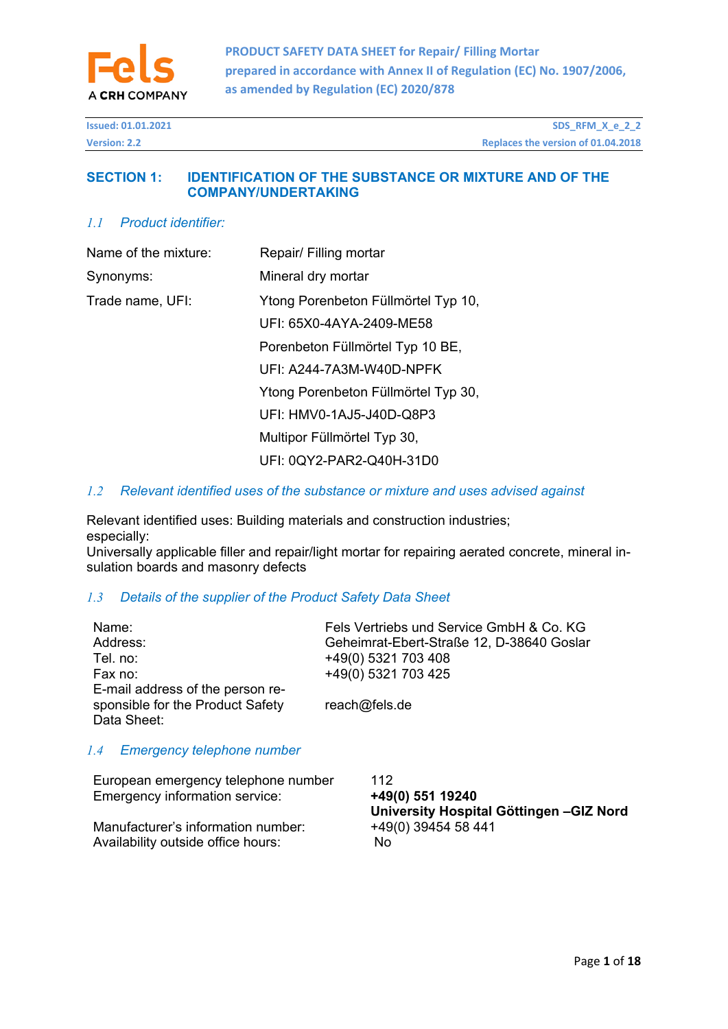

| <b>Version: 2.2</b> | <b>Issued: 01.01.2021</b> | SDS_RFM_X_e_2_2                    |
|---------------------|---------------------------|------------------------------------|
|                     |                           | Replaces the version of 01.04.2018 |

## **SECTION 1: IDENTIFICATION OF THE SUBSTANCE OR MIXTURE AND OF THE COMPANY/UNDERTAKING**

# *1.1 Product identifier:*

| Name of the mixture: | Repair/ Filling mortar              |
|----------------------|-------------------------------------|
| Synonyms:            | Mineral dry mortar                  |
| Trade name, UFI:     | Ytong Porenbeton Füllmörtel Typ 10, |
|                      | UFI: 65X0-4AYA-2409-ME58            |
|                      | Porenbeton Füllmörtel Typ 10 BE,    |
|                      | UFI: A244-7A3M-W40D-NPFK            |
|                      | Ytong Porenbeton Füllmörtel Typ 30, |
|                      | UFI: HMV0-1AJ5-J40D-Q8P3            |
|                      | Multipor Füllmörtel Typ 30,         |
|                      | UFI: 0QY2-PAR2-Q40H-31D0            |

### *1.2 Relevant identified uses of the substance or mixture and uses advised against*

Relevant identified uses: Building materials and construction industries; especially:

Universally applicable filler and repair/light mortar for repairing aerated concrete, mineral insulation boards and masonry defects

# *1.3 Details of the supplier of the Product Safety Data Sheet*

| Name:<br>Address:<br>Tel. no:<br>Fax no:<br>E-mail address of the person re-<br>sponsible for the Product Safety<br>Data Sheet: | Fels Vertriebs und Service GmbH & Co. KG<br>Geheimrat-Ebert-Straße 12, D-38640 Goslar<br>+49(0) 5321 703 408<br>+49(0) 5321 703 425<br>reach@fels.de |  |  |
|---------------------------------------------------------------------------------------------------------------------------------|------------------------------------------------------------------------------------------------------------------------------------------------------|--|--|
| <b>Emergency telephone number</b><br>1.4                                                                                        |                                                                                                                                                      |  |  |
| European emergency telephone number<br>Emergency information service:                                                           | 112<br>+49(0) 551 19240<br>University Hospital Göttingen-GIZ Nor                                                                                     |  |  |
| Manufacturer's information number:                                                                                              | +49(0) 39454 58 441                                                                                                                                  |  |  |

Availability outside office hours: No No

**University Hospital Göttingen –GIZ Nord**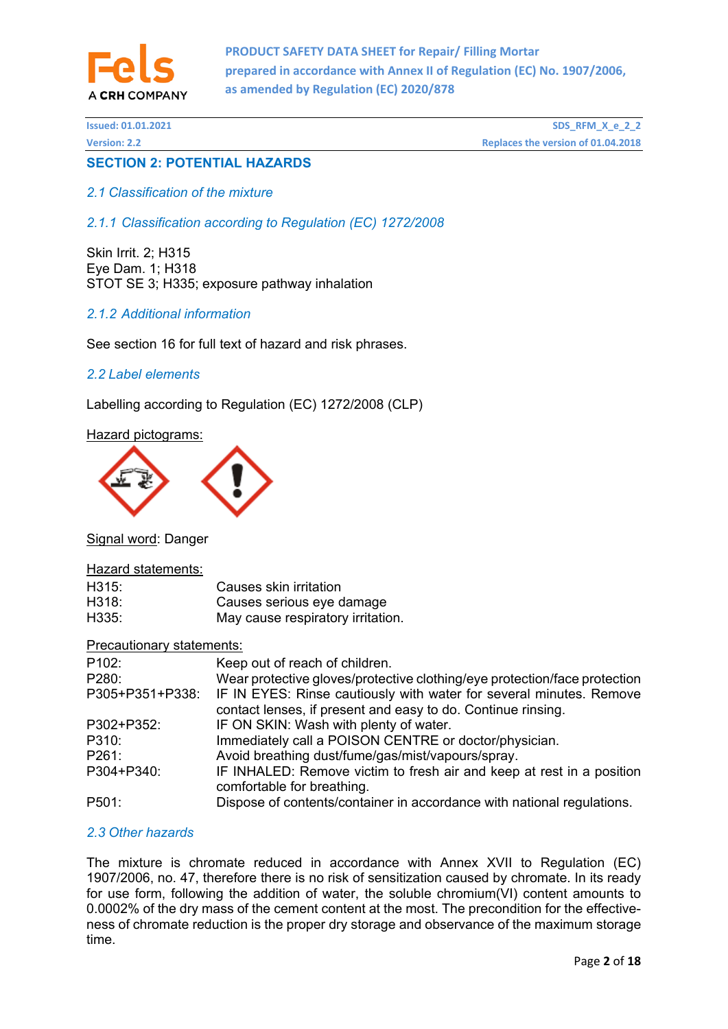

# **SECTION 2: POTENTIAL HAZARDS**

## *2.1 Classification of the mixture*

*2.1.1 Classification according to Regulation (EC) 1272/2008* 

Skin Irrit. 2; H315 Eye Dam. 1; H318 STOT SE 3; H335; exposure pathway inhalation

# *2.1.2 Additional information*

See section 16 for full text of hazard and risk phrases.

### *2.2 Label elements*

Labelling according to Regulation (EC) 1272/2008 (CLP)

Hazard pictograms:



Signal word: Danger

#### Hazard statements:

| H315: | Causes skin irritation            |
|-------|-----------------------------------|
| H318: | Causes serious eye damage         |
| H335: | May cause respiratory irritation. |

Precautionary statements:

| P <sub>102</sub> : | Keep out of reach of children.                                                                                                      |
|--------------------|-------------------------------------------------------------------------------------------------------------------------------------|
| P280:              | Wear protective gloves/protective clothing/eye protection/face protection                                                           |
| P305+P351+P338:    | IF IN EYES: Rinse cautiously with water for several minutes. Remove<br>contact lenses, if present and easy to do. Continue rinsing. |
| P302+P352:         | IF ON SKIN: Wash with plenty of water.                                                                                              |
| P310:              | Immediately call a POISON CENTRE or doctor/physician.                                                                               |
| P261:              | Avoid breathing dust/fume/gas/mist/vapours/spray.                                                                                   |
| P304+P340:         | IF INHALED: Remove victim to fresh air and keep at rest in a position<br>comfortable for breathing.                                 |
| P501:              | Dispose of contents/container in accordance with national regulations.                                                              |

### *2.3 Other hazards*

The mixture is chromate reduced in accordance with Annex XVII to Regulation (EC) 1907/2006, no. 47, therefore there is no risk of sensitization caused by chromate. In its ready for use form, following the addition of water, the soluble chromium(VI) content amounts to 0.0002% of the dry mass of the cement content at the most. The precondition for the effectiveness of chromate reduction is the proper dry storage and observance of the maximum storage time.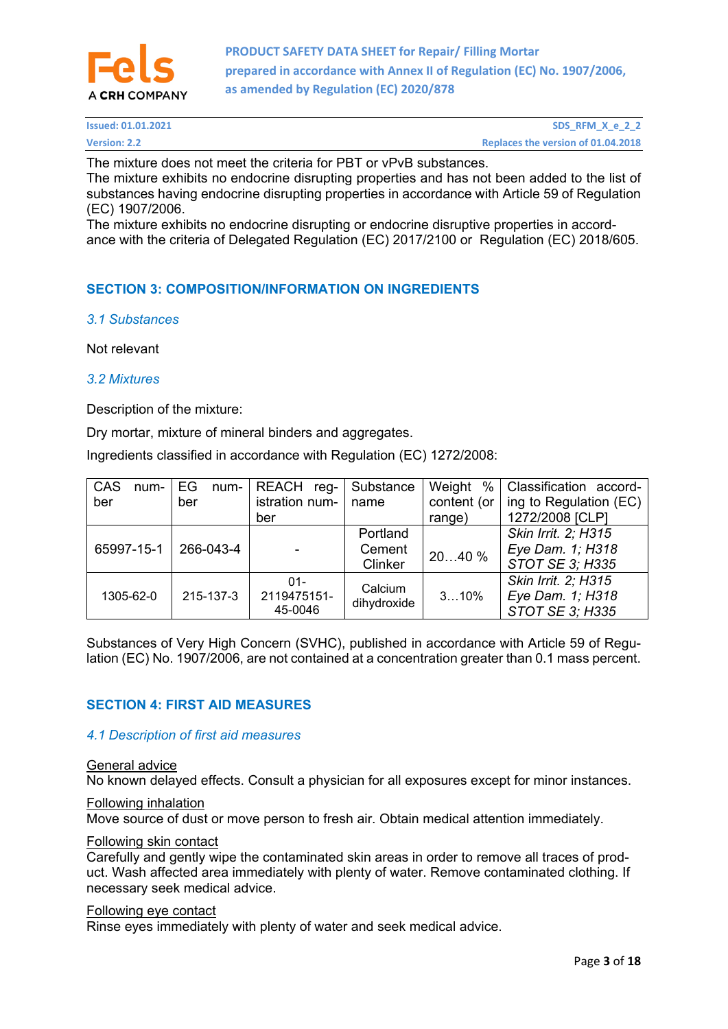

| <b>Issued: 01.01.2021</b> | SDS_RFM_X_e_2_2                    |
|---------------------------|------------------------------------|
| <b>Version: 2.2</b>       | Replaces the version of 01.04.2018 |

The mixture does not meet the criteria for PBT or vPvB substances.

The mixture exhibits no endocrine disrupting properties and has not been added to the list of substances having endocrine disrupting properties in accordance with Article 59 of Regulation (EC) 1907/2006.

The mixture exhibits no endocrine disrupting or endocrine disruptive properties in accordance with the criteria of Delegated Regulation (EC) 2017/2100 or Regulation (EC) 2018/605.

# **SECTION 3: COMPOSITION/INFORMATION ON INGREDIENTS**

### *3.1 Substances*

Not relevant

#### *3.2 Mixtures*

Description of the mixture:

Dry mortar, mixture of mineral binders and aggregates.

Ingredients classified in accordance with Regulation (EC) 1272/2008:

| CAS<br>$num-$ | EG<br>num- | <b>REACH</b><br>reg- | Substance   | %<br>Weight | Classification accord- |
|---------------|------------|----------------------|-------------|-------------|------------------------|
| ber           | ber        | istration num-       | name        | content (or | ing to Regulation (EC) |
|               |            | ber                  |             | range)      | 1272/2008 [CLP]        |
|               |            |                      | Portland    |             | Skin Irrit. 2; H315    |
| 65997-15-1    | 266-043-4  |                      | Cement      | 2040%       | Eye Dam. 1; H318       |
|               |            |                      | Clinker     |             | STOT SE 3; H335        |
|               |            | $01 -$               | Calcium     |             | Skin Irrit. 2; H315    |
| 1305-62-0     | 215-137-3  | 2119475151-          | dihydroxide | 310%        | Eye Dam. 1; H318       |
|               |            | 45-0046              |             |             | STOT SE 3; H335        |

Substances of Very High Concern (SVHC), published in accordance with Article 59 of Regulation (EC) No. 1907/2006, are not contained at a concentration greater than 0.1 mass percent.

# **SECTION 4: FIRST AID MEASURES**

### *4.1 Description of first aid measures*

#### General advice

No known delayed effects. Consult a physician for all exposures except for minor instances.

### Following inhalation

Move source of dust or move person to fresh air. Obtain medical attention immediately.

#### Following skin contact

Carefully and gently wipe the contaminated skin areas in order to remove all traces of product. Wash affected area immediately with plenty of water. Remove contaminated clothing. If necessary seek medical advice.

#### Following eye contact

Rinse eyes immediately with plenty of water and seek medical advice.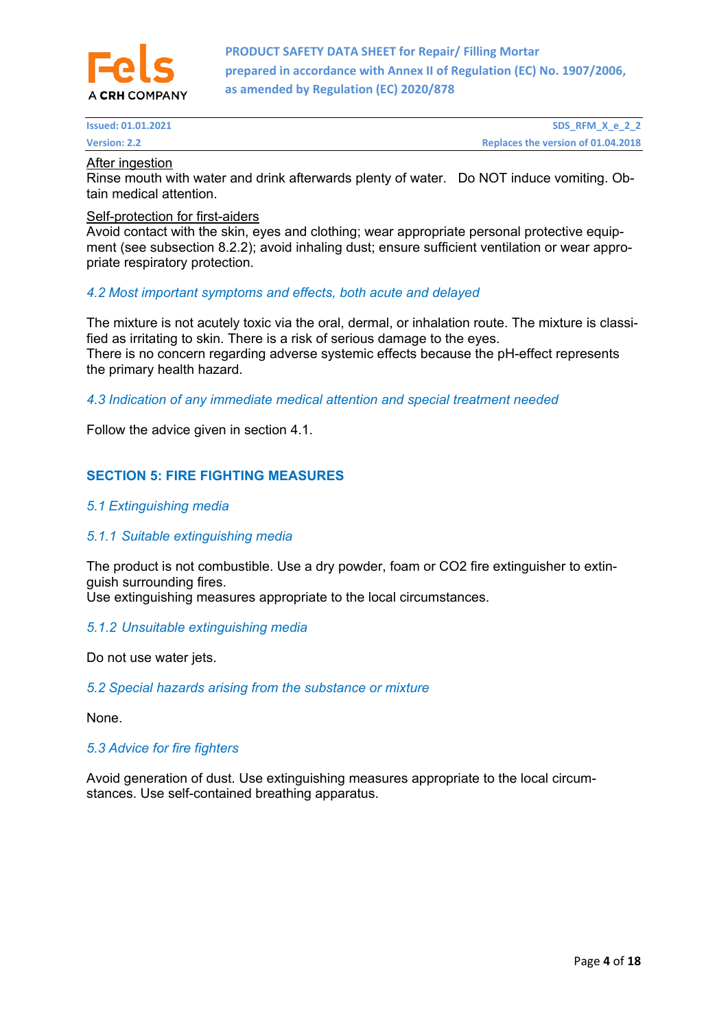

### After ingestion

Rinse mouth with water and drink afterwards plenty of water. Do NOT induce vomiting. Obtain medical attention.

### Self-protection for first-aiders

Avoid contact with the skin, eyes and clothing; wear appropriate personal protective equipment (see subsection 8.2.2); avoid inhaling dust; ensure sufficient ventilation or wear appropriate respiratory protection.

### *4.2 Most important symptoms and effects, both acute and delayed*

The mixture is not acutely toxic via the oral, dermal, or inhalation route. The mixture is classified as irritating to skin. There is a risk of serious damage to the eyes. There is no concern regarding adverse systemic effects because the pH-effect represents the primary health hazard.

### *4.3 Indication of any immediate medical attention and special treatment needed*

Follow the advice given in section 4.1.

# **SECTION 5: FIRE FIGHTING MEASURES**

### *5.1 Extinguishing media*

### *5.1.1 Suitable extinguishing media*

The product is not combustible. Use a dry powder, foam or CO2 fire extinguisher to extinguish surrounding fires.

Use extinguishing measures appropriate to the local circumstances.

### *5.1.2 Unsuitable extinguishing media*

Do not use water jets.

### *5.2 Special hazards arising from the substance or mixture*

None.

### *5.3 Advice for fire fighters*

Avoid generation of dust. Use extinguishing measures appropriate to the local circumstances. Use self-contained breathing apparatus.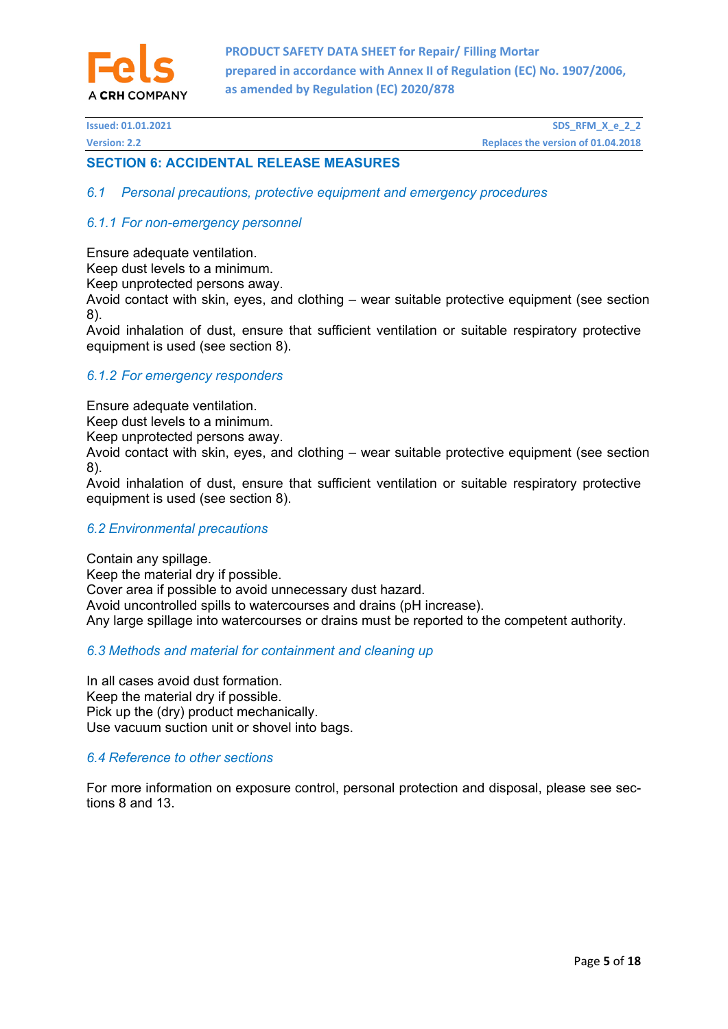

## **SECTION 6: ACCIDENTAL RELEASE MEASURES**

*6.1 Personal precautions, protective equipment and emergency procedures* 

### *6.1.1 For non-emergency personnel*

Ensure adequate ventilation.

Keep dust levels to a minimum.

Keep unprotected persons away.

Avoid contact with skin, eyes, and clothing – wear suitable protective equipment (see section 8).

Avoid inhalation of dust, ensure that sufficient ventilation or suitable respiratory protective equipment is used (see section 8).

#### *6.1.2 For emergency responders*

Ensure adequate ventilation.

Keep dust levels to a minimum.

Keep unprotected persons away.

Avoid contact with skin, eyes, and clothing – wear suitable protective equipment (see section 8).

Avoid inhalation of dust, ensure that sufficient ventilation or suitable respiratory protective equipment is used (see section 8).

#### *6.2 Environmental precautions*

Contain any spillage. Keep the material dry if possible. Cover area if possible to avoid unnecessary dust hazard. Avoid uncontrolled spills to watercourses and drains (pH increase). Any large spillage into watercourses or drains must be reported to the competent authority.

### *6.3 Methods and material for containment and cleaning up*

In all cases avoid dust formation. Keep the material dry if possible. Pick up the (dry) product mechanically. Use vacuum suction unit or shovel into bags.

### *6.4 Reference to other sections*

For more information on exposure control, personal protection and disposal, please see sections 8 and 13.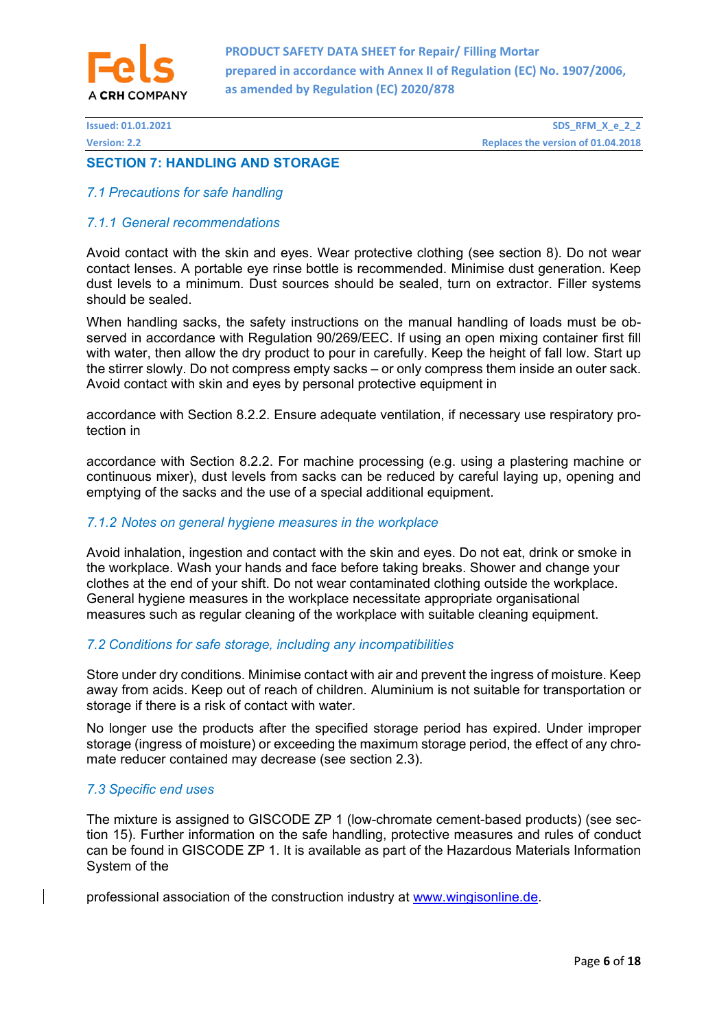

### **SECTION 7: HANDLING AND STORAGE**

### *7.1 Precautions for safe handling*

### *7.1.1 General recommendations*

Avoid contact with the skin and eyes. Wear protective clothing (see section 8). Do not wear contact lenses. A portable eye rinse bottle is recommended. Minimise dust generation. Keep dust levels to a minimum. Dust sources should be sealed, turn on extractor. Filler systems should be sealed.

When handling sacks, the safety instructions on the manual handling of loads must be observed in accordance with Regulation 90/269/EEC. If using an open mixing container first fill with water, then allow the dry product to pour in carefully. Keep the height of fall low. Start up the stirrer slowly. Do not compress empty sacks – or only compress them inside an outer sack. Avoid contact with skin and eves by personal protective equipment in

accordance with Section 8.2.2. Ensure adequate ventilation, if necessary use respiratory protection in

accordance with Section 8.2.2. For machine processing (e.g. using a plastering machine or continuous mixer), dust levels from sacks can be reduced by careful laying up, opening and emptying of the sacks and the use of a special additional equipment.

### *7.1.2 Notes on general hygiene measures in the workplace*

Avoid inhalation, ingestion and contact with the skin and eyes. Do not eat, drink or smoke in the workplace. Wash your hands and face before taking breaks. Shower and change your clothes at the end of your shift. Do not wear contaminated clothing outside the workplace. General hygiene measures in the workplace necessitate appropriate organisational measures such as regular cleaning of the workplace with suitable cleaning equipment.

### *7.2 Conditions for safe storage, including any incompatibilities*

Store under dry conditions. Minimise contact with air and prevent the ingress of moisture. Keep away from acids. Keep out of reach of children. Aluminium is not suitable for transportation or storage if there is a risk of contact with water.

No longer use the products after the specified storage period has expired. Under improper storage (ingress of moisture) or exceeding the maximum storage period, the effect of any chromate reducer contained may decrease (see section 2.3).

### *7.3 Specific end uses*

The mixture is assigned to GISCODE ZP 1 (low-chromate cement-based products) (see section 15). Further information on the safe handling, protective measures and rules of conduct can be found in GISCODE ZP 1. It is available as part of the Hazardous Materials Information System of the

professional association of the construction industry at www.wingisonline.de.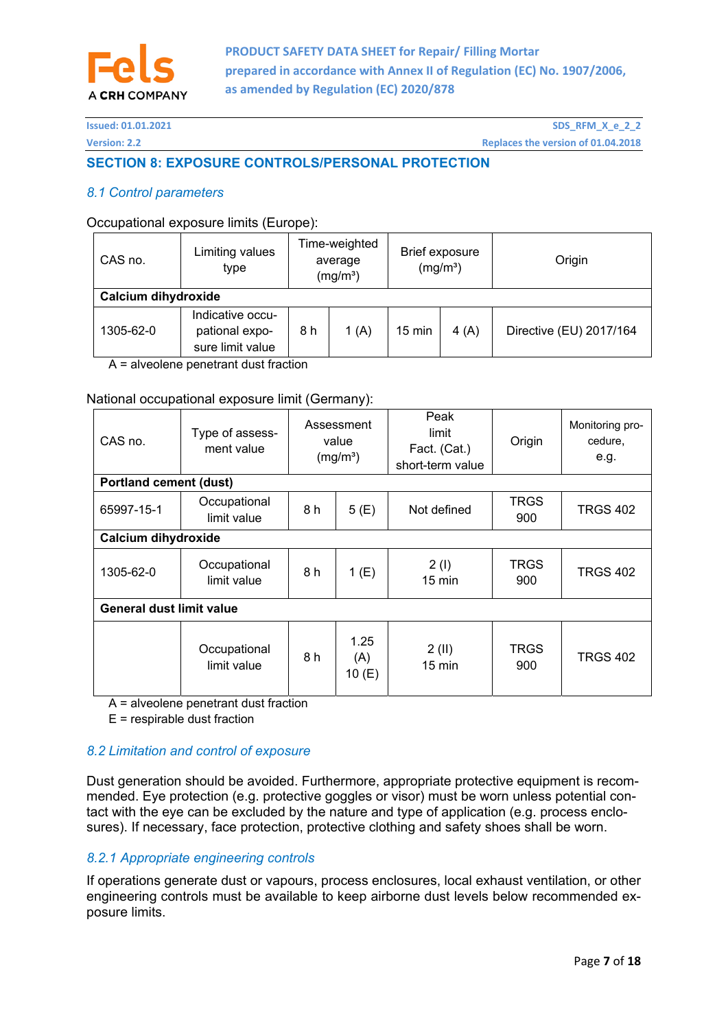

# **SECTION 8: EXPOSURE CONTROLS/PERSONAL PROTECTION**

### *8.1 Control parameters*

### Occupational exposure limits (Europe):

| CAS no.             | Limiting values<br>type                                                                           | Time-weighted<br>average<br>(mg/m <sup>3</sup> ) |                         | Brief exposure<br>(mg/m <sup>3</sup> ) |  | Origin |  |
|---------------------|---------------------------------------------------------------------------------------------------|--------------------------------------------------|-------------------------|----------------------------------------|--|--------|--|
| Calcium dihydroxide |                                                                                                   |                                                  |                         |                                        |  |        |  |
| 1305-62-0           | Indicative occu-<br>1(A)<br>$15 \text{ min}$<br>4(A)<br>8 h<br>pational expo-<br>sure limit value |                                                  | Directive (EU) 2017/164 |                                        |  |        |  |

A = alveolene penetrant dust fraction

### National occupational exposure limit (Germany):

| CAS no.                         | Type of assess-<br>ment value | Assessment<br>value<br>(mg/m <sup>3</sup> ) |                         | Peak<br>limit<br>Fact. (Cat.)<br>short-term value | Origin             | Monitoring pro-<br>cedure,<br>e.g. |
|---------------------------------|-------------------------------|---------------------------------------------|-------------------------|---------------------------------------------------|--------------------|------------------------------------|
| <b>Portland cement (dust)</b>   |                               |                                             |                         |                                                   |                    |                                    |
| 65997-15-1                      | Occupational<br>limit value   | 8 h<br>5(E)                                 |                         | Not defined                                       | <b>TRGS</b><br>900 | <b>TRGS 402</b>                    |
| Calcium dihydroxide             |                               |                                             |                         |                                                   |                    |                                    |
| 1305-62-0                       | Occupational<br>limit value   | 8 h<br>1(E)                                 |                         | 2(1)<br>$15 \text{ min}$                          | <b>TRGS</b><br>900 | <b>TRGS 402</b>                    |
| <b>General dust limit value</b> |                               |                                             |                         |                                                   |                    |                                    |
|                                 | Occupational<br>limit value   | 8 h                                         | 1.25<br>(A)<br>10 $(E)$ | 2(II)<br>$15 \text{ min}$                         | <b>TRGS</b><br>900 | <b>TRGS 402</b>                    |

A = alveolene penetrant dust fraction

E = respirable dust fraction

### *8.2 Limitation and control of exposure*

Dust generation should be avoided. Furthermore, appropriate protective equipment is recommended. Eye protection (e.g. protective goggles or visor) must be worn unless potential contact with the eye can be excluded by the nature and type of application (e.g. process enclosures). If necessary, face protection, protective clothing and safety shoes shall be worn.

# *8.2.1 Appropriate engineering controls*

If operations generate dust or vapours, process enclosures, local exhaust ventilation, or other engineering controls must be available to keep airborne dust levels below recommended exposure limits.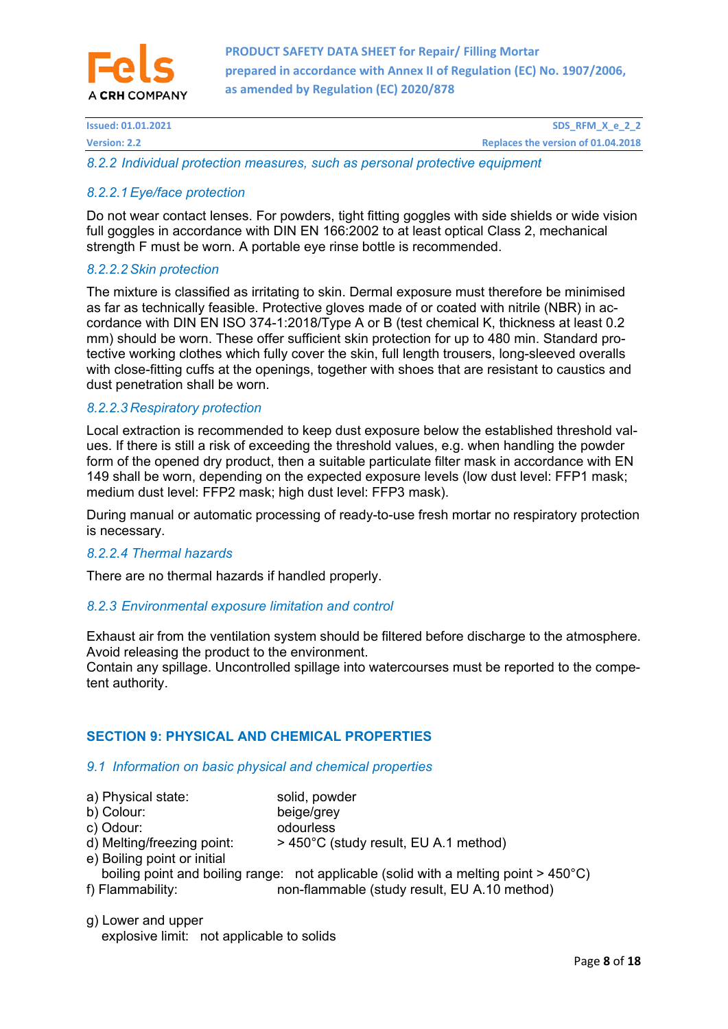

**Issued: 01.01.2021 SDS\_RFM\_X\_e\_2\_2 Replaces the version: 2.2 Replaces the version of 01.04.2018** 

*8.2.2 Individual protection measures, such as personal protective equipment* 

# *8.2.2.1 Eye/face protection*

Do not wear contact lenses. For powders, tight fitting goggles with side shields or wide vision full goggles in accordance with DIN EN 166:2002 to at least optical Class 2, mechanical strength F must be worn. A portable eye rinse bottle is recommended.

### *8.2.2.2 Skin protection*

The mixture is classified as irritating to skin. Dermal exposure must therefore be minimised as far as technically feasible. Protective gloves made of or coated with nitrile (NBR) in accordance with DIN EN ISO 374-1:2018/Type A or B (test chemical K, thickness at least 0.2 mm) should be worn. These offer sufficient skin protection for up to 480 min. Standard protective working clothes which fully cover the skin, full length trousers, long-sleeved overalls with close-fitting cuffs at the openings, together with shoes that are resistant to caustics and dust penetration shall be worn.

### *8.2.2.3 Respiratory protection*

Local extraction is recommended to keep dust exposure below the established threshold values. If there is still a risk of exceeding the threshold values, e.g. when handling the powder form of the opened dry product, then a suitable particulate filter mask in accordance with EN 149 shall be worn, depending on the expected exposure levels (low dust level: FFP1 mask; medium dust level: FFP2 mask; high dust level: FFP3 mask).

During manual or automatic processing of ready-to-use fresh mortar no respiratory protection is necessary.

### *8.2.2.4 Thermal hazards*

There are no thermal hazards if handled properly.

### *8.2.3 Environmental exposure limitation and control*

Exhaust air from the ventilation system should be filtered before discharge to the atmosphere. Avoid releasing the product to the environment.

Contain any spillage. Uncontrolled spillage into watercourses must be reported to the competent authority.

# **SECTION 9: PHYSICAL AND CHEMICAL PROPERTIES**

### *9.1 Information on basic physical and chemical properties*

| a) Physical state:          | solid, powder                                                                                     |
|-----------------------------|---------------------------------------------------------------------------------------------------|
| b) Colour:                  | beige/grey                                                                                        |
| c) Odour:                   | odourless                                                                                         |
| d) Melting/freezing point:  | > 450°C (study result, EU A.1 method)                                                             |
| e) Boiling point or initial |                                                                                                   |
|                             | boiling point and boiling range: not applicable (solid with a melting point $>$ 450 $^{\circ}$ C) |
| f) Flammability:            | non-flammable (study result, EU A.10 method)                                                      |
|                             |                                                                                                   |

g) Lower and upper explosive limit: not applicable to solids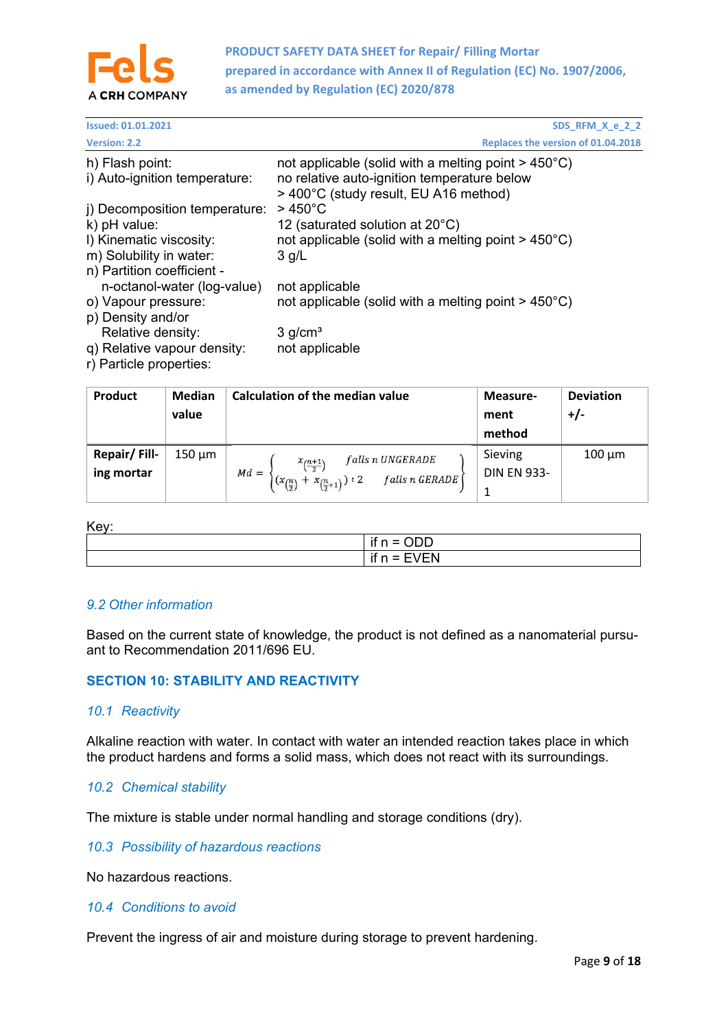

| <b>Issued: 01.01.2021</b>     | SDS_RFM_X_e_2_2                                                  |
|-------------------------------|------------------------------------------------------------------|
| <b>Version: 2.2</b>           | Replaces the version of 01.04.2018                               |
| h) Flash point:               | not applicable (solid with a melting point $>$ 450 $^{\circ}$ C) |
| i) Auto-ignition temperature: | no relative auto-ignition temperature below                      |
|                               | > 400°C (study result, EU A16 method)                            |
| i) Decomposition temperature: | $>450^{\circ}$ C                                                 |
| k) pH value:                  | 12 (saturated solution at $20^{\circ}$ C)                        |
| I) Kinematic viscosity:       | not applicable (solid with a melting point $>$ 450 $^{\circ}$ C) |
| m) Solubility in water:       | $3$ g/L                                                          |
| n) Partition coefficient -    |                                                                  |
| n-octanol-water (log-value)   | not applicable                                                   |
| o) Vapour pressure:           | not applicable (solid with a melting point $>$ 450 $^{\circ}$ C) |
| p) Density and/or             |                                                                  |
| Relative density:             | $3$ g/cm <sup>3</sup>                                            |
| q) Relative vapour density:   | not applicable                                                   |
| r) Dartiala proportion.       |                                                                  |

r) Particle properties:

| <b>Product</b> | <b>Median</b><br>value | Calculation of the median value                                | Measure-<br>ment   | <b>Deviation</b><br>$+/-$ |
|----------------|------------------------|----------------------------------------------------------------|--------------------|---------------------------|
|                |                        |                                                                | method             |                           |
| Repair/Fill-   | $150 \mu m$            | falls n UNGERADE<br>$\frac{x_{\left(\frac{n+1}{2}\right)}}{x}$ | Sieving            | $100 \mu m$               |
| ing mortar     |                        | $Md =$<br>+ $x_{(\frac{n}{2}+1)}$ ) : 2<br>falls n GERADE      | <b>DIN EN 933-</b> |                           |
|                |                        | $(x_{(\frac{n}{2})})$                                          | 1                  |                           |

#### Key:

| . | $\sim$ $\sim$ $\sim$<br>. .<br>۱t<br>-<br>$\overline{\phantom{0}}$                        |
|---|-------------------------------------------------------------------------------------------|
|   | $\overline{\phantom{a}}$<br>$\sim$<br>۱Ť<br>$\overline{\phantom{0}}$<br>_<br>$\cdot$<br>. |

### *9.2 Other information*

Based on the current state of knowledge, the product is not defined as a nanomaterial pursuant to Recommendation 2011/696 EU.

### **SECTION 10: STABILITY AND REACTIVITY**

### *10.1 Reactivity*

Alkaline reaction with water. In contact with water an intended reaction takes place in which the product hardens and forms a solid mass, which does not react with its surroundings.

### *10.2 Chemical stability*

The mixture is stable under normal handling and storage conditions (dry).

#### *10.3 Possibility of hazardous reactions*

No hazardous reactions.

### *10.4 Conditions to avoid*

Prevent the ingress of air and moisture during storage to prevent hardening.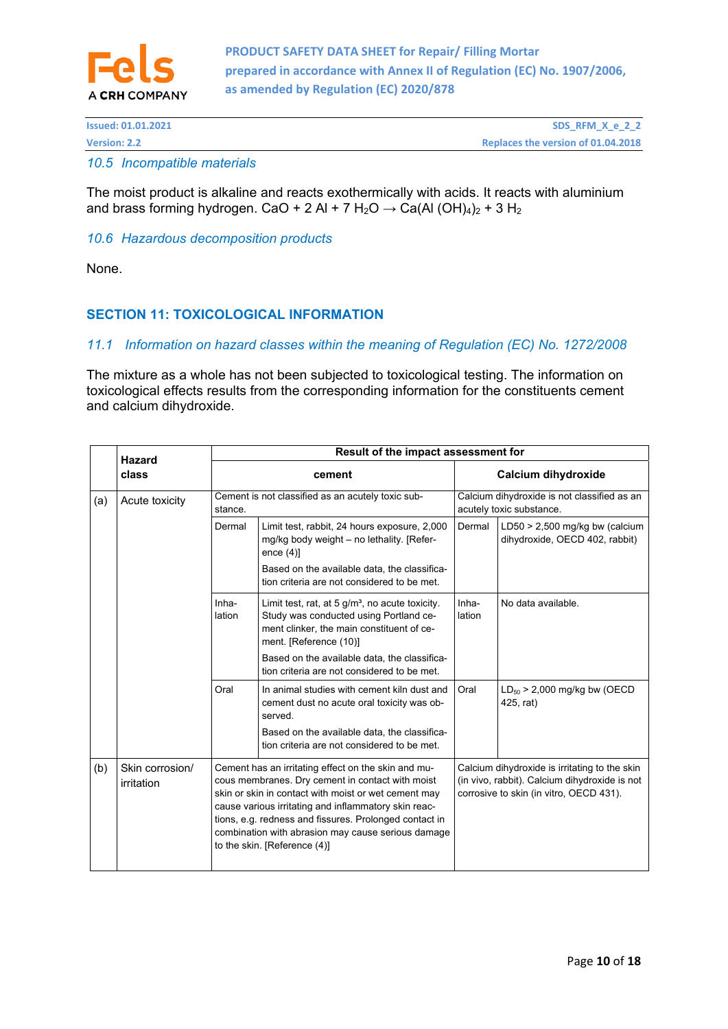

| <b>Issued: 01.01.2021</b> | SDS_RFM_X_e_2_2                    |
|---------------------------|------------------------------------|
| <b>Version: 2.2</b>       | Replaces the version of 01.04.2018 |

### *10.5 Incompatible materials*

The moist product is alkaline and reacts exothermically with acids. It reacts with aluminium and brass forming hydrogen. CaO + 2 Al + 7 H<sub>2</sub>O  $\rightarrow$  Ca(Al (OH)<sub>4</sub>)<sub>2</sub> + 3 H<sub>2</sub>

#### *10.6 Hazardous decomposition products*

None.

# **SECTION 11: TOXICOLOGICAL INFORMATION**

### *11.1 Information on hazard classes within the meaning of Regulation (EC) No. 1272/2008*

The mixture as a whole has not been subjected to toxicological testing. The information on toxicological effects results from the corresponding information for the constituents cement and calcium dihydroxide.

|       | <b>Hazard</b>                 | Result of the impact assessment for |                                                                                                                                                                                                                                                                                                                                                                         |                     |                                                                                                                                           |  |
|-------|-------------------------------|-------------------------------------|-------------------------------------------------------------------------------------------------------------------------------------------------------------------------------------------------------------------------------------------------------------------------------------------------------------------------------------------------------------------------|---------------------|-------------------------------------------------------------------------------------------------------------------------------------------|--|
| class |                               | cement                              |                                                                                                                                                                                                                                                                                                                                                                         | Calcium dihydroxide |                                                                                                                                           |  |
| (a)   | Acute toxicity                | stance.                             | Cement is not classified as an acutely toxic sub-                                                                                                                                                                                                                                                                                                                       |                     | Calcium dihydroxide is not classified as an<br>acutely toxic substance.                                                                   |  |
|       |                               | Dermal                              | Limit test, rabbit, 24 hours exposure, 2,000<br>mg/kg body weight - no lethality. [Refer-<br>ence $(4)$ ]                                                                                                                                                                                                                                                               | Dermal              | LD50 $>$ 2,500 mg/kg bw (calcium<br>dihydroxide, OECD 402, rabbit)                                                                        |  |
|       |                               |                                     | Based on the available data, the classifica-<br>tion criteria are not considered to be met.                                                                                                                                                                                                                                                                             |                     |                                                                                                                                           |  |
|       |                               | Inha-<br>lation                     | Limit test, rat, at 5 $g/m3$ , no acute toxicity.<br>Study was conducted using Portland ce-<br>ment clinker, the main constituent of ce-<br>ment. [Reference (10)]                                                                                                                                                                                                      | Inha-<br>lation     | No data available.                                                                                                                        |  |
|       |                               |                                     | Based on the available data, the classifica-<br>tion criteria are not considered to be met.                                                                                                                                                                                                                                                                             |                     |                                                                                                                                           |  |
|       |                               | Oral                                | In animal studies with cement kiln dust and<br>cement dust no acute oral toxicity was ob-<br>served.                                                                                                                                                                                                                                                                    | Oral                | $LD_{50}$ > 2,000 mg/kg bw (OECD<br>425, rat)                                                                                             |  |
|       |                               |                                     | Based on the available data, the classifica-<br>tion criteria are not considered to be met.                                                                                                                                                                                                                                                                             |                     |                                                                                                                                           |  |
| (b)   | Skin corrosion/<br>irritation |                                     | Cement has an irritating effect on the skin and mu-<br>cous membranes. Dry cement in contact with moist<br>skin or skin in contact with moist or wet cement may<br>cause various irritating and inflammatory skin reac-<br>tions, e.g. redness and fissures. Prolonged contact in<br>combination with abrasion may cause serious damage<br>to the skin. [Reference (4)] |                     | Calcium dihydroxide is irritating to the skin<br>(in vivo, rabbit). Calcium dihydroxide is not<br>corrosive to skin (in vitro, OECD 431). |  |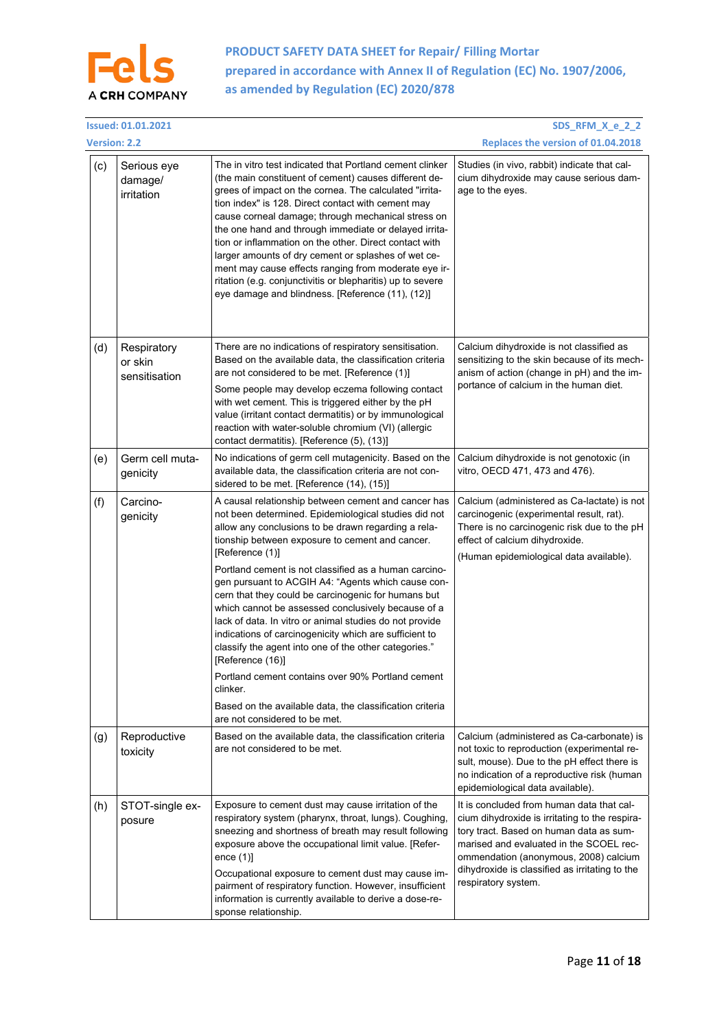

|                     | <b>Issued: 01.01.2021</b><br>SDS_RFM_X_e_2_2 |                                                                                                                                                                                                                                                                                                                                                                                                                                                                                                                                                                                                                                                                                                                                                                                                                                      |                                                                                                                                                                                                                                                                                                     |  |
|---------------------|----------------------------------------------|--------------------------------------------------------------------------------------------------------------------------------------------------------------------------------------------------------------------------------------------------------------------------------------------------------------------------------------------------------------------------------------------------------------------------------------------------------------------------------------------------------------------------------------------------------------------------------------------------------------------------------------------------------------------------------------------------------------------------------------------------------------------------------------------------------------------------------------|-----------------------------------------------------------------------------------------------------------------------------------------------------------------------------------------------------------------------------------------------------------------------------------------------------|--|
| <b>Version: 2.2</b> |                                              |                                                                                                                                                                                                                                                                                                                                                                                                                                                                                                                                                                                                                                                                                                                                                                                                                                      | Replaces the version of 01.04.2018                                                                                                                                                                                                                                                                  |  |
| (c)                 | Serious eye<br>damage/<br>irritation         | The in vitro test indicated that Portland cement clinker<br>(the main constituent of cement) causes different de-<br>grees of impact on the cornea. The calculated "irrita-<br>tion index" is 128. Direct contact with cement may<br>cause corneal damage; through mechanical stress on<br>the one hand and through immediate or delayed irrita-<br>tion or inflammation on the other. Direct contact with<br>larger amounts of dry cement or splashes of wet ce-<br>ment may cause effects ranging from moderate eye ir-<br>ritation (e.g. conjunctivitis or blepharitis) up to severe<br>eye damage and blindness. [Reference (11), (12)]                                                                                                                                                                                          | Studies (in vivo, rabbit) indicate that cal-<br>cium dihydroxide may cause serious dam-<br>age to the eyes.                                                                                                                                                                                         |  |
| (d)                 | Respiratory<br>or skin<br>sensitisation      | There are no indications of respiratory sensitisation.<br>Based on the available data, the classification criteria<br>are not considered to be met. [Reference (1)]<br>Some people may develop eczema following contact<br>with wet cement. This is triggered either by the pH<br>value (irritant contact dermatitis) or by immunological<br>reaction with water-soluble chromium (VI) (allergic<br>contact dermatitis). [Reference (5), (13)]                                                                                                                                                                                                                                                                                                                                                                                       | Calcium dihydroxide is not classified as<br>sensitizing to the skin because of its mech-<br>anism of action (change in pH) and the im-<br>portance of calcium in the human diet.                                                                                                                    |  |
| (e)                 | Germ cell muta-<br>genicity                  | No indications of germ cell mutagenicity. Based on the<br>available data, the classification criteria are not con-<br>sidered to be met. [Reference (14), (15)]                                                                                                                                                                                                                                                                                                                                                                                                                                                                                                                                                                                                                                                                      | Calcium dihydroxide is not genotoxic (in<br>vitro, OECD 471, 473 and 476).                                                                                                                                                                                                                          |  |
| (f)                 | Carcino-<br>genicity                         | A causal relationship between cement and cancer has<br>not been determined. Epidemiological studies did not<br>allow any conclusions to be drawn regarding a rela-<br>tionship between exposure to cement and cancer.<br>[Reference (1)]<br>Portland cement is not classified as a human carcino-<br>gen pursuant to ACGIH A4: "Agents which cause con-<br>cern that they could be carcinogenic for humans but<br>which cannot be assessed conclusively because of a<br>lack of data. In vitro or animal studies do not provide<br>indications of carcinogenicity which are sufficient to<br>classify the agent into one of the other categories."<br>[Reference (16)]<br>Portland cement contains over 90% Portland cement<br>clinker.<br>Based on the available data, the classification criteria<br>are not considered to be met. | Calcium (administered as Ca-lactate) is not<br>carcinogenic (experimental result, rat).<br>There is no carcinogenic risk due to the pH<br>effect of calcium dihydroxide.<br>(Human epidemiological data available).                                                                                 |  |
| (g)                 | Reproductive<br>toxicity                     | Based on the available data, the classification criteria<br>are not considered to be met.                                                                                                                                                                                                                                                                                                                                                                                                                                                                                                                                                                                                                                                                                                                                            | Calcium (administered as Ca-carbonate) is<br>not toxic to reproduction (experimental re-<br>sult, mouse). Due to the pH effect there is<br>no indication of a reproductive risk (human<br>epidemiological data available).                                                                          |  |
| (h)                 | STOT-single ex-<br>posure                    | Exposure to cement dust may cause irritation of the<br>respiratory system (pharynx, throat, lungs). Coughing,<br>sneezing and shortness of breath may result following<br>exposure above the occupational limit value. [Refer-<br>ence $(1)$ ]<br>Occupational exposure to cement dust may cause im-<br>pairment of respiratory function. However, insufficient<br>information is currently available to derive a dose-re-<br>sponse relationship.                                                                                                                                                                                                                                                                                                                                                                                   | It is concluded from human data that cal-<br>cium dihydroxide is irritating to the respira-<br>tory tract. Based on human data as sum-<br>marised and evaluated in the SCOEL rec-<br>ommendation (anonymous, 2008) calcium<br>dihydroxide is classified as irritating to the<br>respiratory system. |  |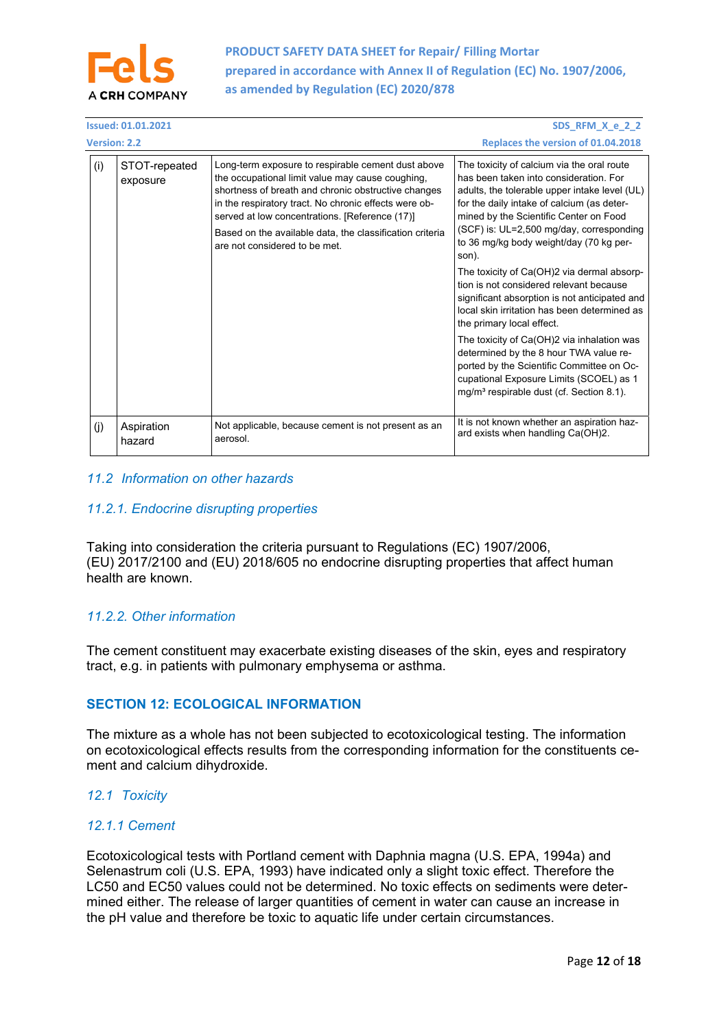

| <b>Issued: 01.01.2021</b><br>SDS RFM X e 2 2 |                           |                                                                                                                                                                                                                                                                                                                                                                       |                                                                                                                                                                                                                                                                                                                               |
|----------------------------------------------|---------------------------|-----------------------------------------------------------------------------------------------------------------------------------------------------------------------------------------------------------------------------------------------------------------------------------------------------------------------------------------------------------------------|-------------------------------------------------------------------------------------------------------------------------------------------------------------------------------------------------------------------------------------------------------------------------------------------------------------------------------|
| <b>Version: 2.2</b>                          |                           |                                                                                                                                                                                                                                                                                                                                                                       | Replaces the version of 01.04.2018                                                                                                                                                                                                                                                                                            |
| (i)                                          | STOT-repeated<br>exposure | Long-term exposure to respirable cement dust above<br>the occupational limit value may cause coughing,<br>shortness of breath and chronic obstructive changes<br>in the respiratory tract. No chronic effects were ob-<br>served at low concentrations. [Reference (17)]<br>Based on the available data, the classification criteria<br>are not considered to be met. | The toxicity of calcium via the oral route<br>has been taken into consideration. For<br>adults, the tolerable upper intake level (UL)<br>for the daily intake of calcium (as deter-<br>mined by the Scientific Center on Food<br>(SCF) is: UL=2,500 mg/day, corresponding<br>to 36 mg/kg body weight/day (70 kg per-<br>son). |
|                                              |                           |                                                                                                                                                                                                                                                                                                                                                                       | The toxicity of Ca(OH)2 via dermal absorp-<br>tion is not considered relevant because<br>significant absorption is not anticipated and<br>local skin irritation has been determined as<br>the primary local effect.                                                                                                           |
|                                              |                           |                                                                                                                                                                                                                                                                                                                                                                       | The toxicity of Ca(OH)2 via inhalation was<br>determined by the 8 hour TWA value re-<br>ported by the Scientific Committee on Oc-<br>cupational Exposure Limits (SCOEL) as 1<br>mg/m <sup>3</sup> respirable dust (cf. Section 8.1).                                                                                          |
| (i)                                          | Aspiration<br>hazard      | Not applicable, because cement is not present as an<br>aerosol.                                                                                                                                                                                                                                                                                                       | It is not known whether an aspiration haz-<br>ard exists when handling Ca(OH)2.                                                                                                                                                                                                                                               |

# *11.2 Information on other hazards*

# *11.2.1. Endocrine disrupting properties*

Taking into consideration the criteria pursuant to Regulations (EC) 1907/2006, (EU) 2017/2100 and (EU) 2018/605 no endocrine disrupting properties that affect human health are known.

# *11.2.2. Other information*

The cement constituent may exacerbate existing diseases of the skin, eyes and respiratory tract, e.g. in patients with pulmonary emphysema or asthma.

# **SECTION 12: ECOLOGICAL INFORMATION**

The mixture as a whole has not been subjected to ecotoxicological testing. The information on ecotoxicological effects results from the corresponding information for the constituents cement and calcium dihydroxide.

# *12.1 Toxicity*

### *12.1.1 Cement*

Ecotoxicological tests with Portland cement with Daphnia magna (U.S. EPA, 1994a) and Selenastrum coli (U.S. EPA, 1993) have indicated only a slight toxic effect. Therefore the LC50 and EC50 values could not be determined. No toxic effects on sediments were determined either. The release of larger quantities of cement in water can cause an increase in the pH value and therefore be toxic to aquatic life under certain circumstances.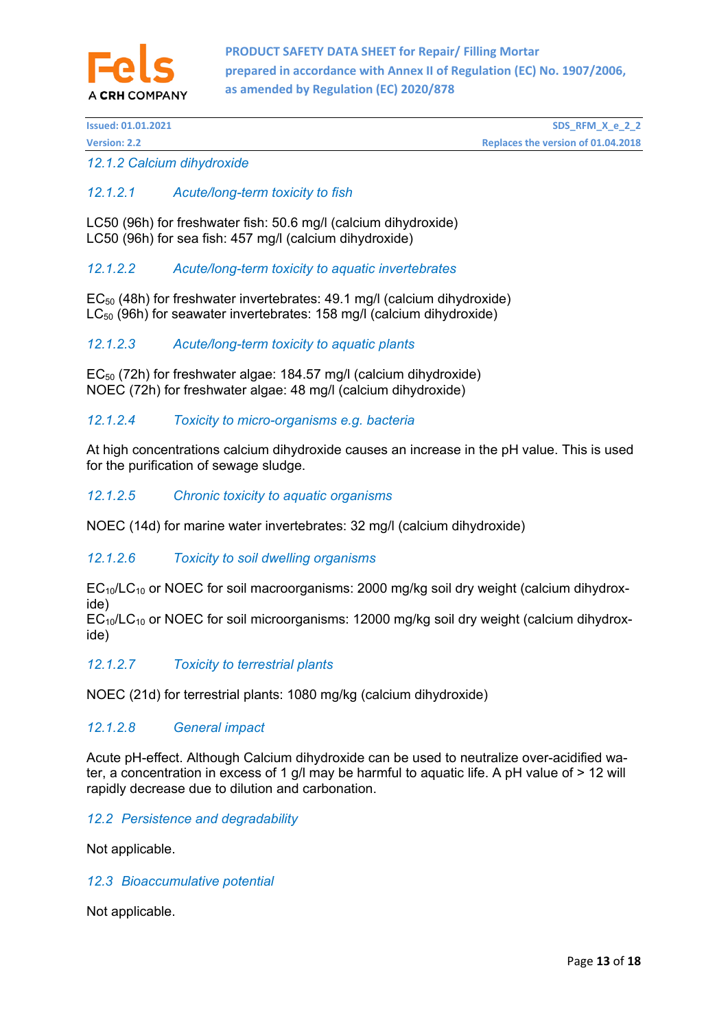

*12.1.2 Calcium dihydroxide* 

# *12.1.2.1 Acute/long-term toxicity to fish*

LC50 (96h) for freshwater fish: 50.6 mg/l (calcium dihydroxide) LC50 (96h) for sea fish: 457 mg/l (calcium dihydroxide)

# *12.1.2.2 Acute/long-term toxicity to aquatic invertebrates*

 $EC_{50}$  (48h) for freshwater invertebrates: 49.1 mg/l (calcium dihydroxide) LC<sub>50</sub> (96h) for seawater invertebrates: 158 mg/l (calcium dihydroxide)

# *12.1.2.3 Acute/long-term toxicity to aquatic plants*

EC<sub>50</sub> (72h) for freshwater algae: 184.57 mg/l (calcium dihydroxide) NOEC (72h) for freshwater algae: 48 mg/l (calcium dihydroxide)

# *12.1.2.4 Toxicity to micro-organisms e.g. bacteria*

At high concentrations calcium dihydroxide causes an increase in the pH value. This is used for the purification of sewage sludge.

# *12.1.2.5 Chronic toxicity to aquatic organisms*

NOEC (14d) for marine water invertebrates: 32 mg/l (calcium dihydroxide)

# *12.1.2.6 Toxicity to soil dwelling organisms*

 $EC_{10}/LC_{10}$  or NOEC for soil macroorganisms: 2000 mg/kg soil dry weight (calcium dihydroxide)

 $EC_{10}/LC_{10}$  or NOEC for soil microorganisms: 12000 mg/kg soil dry weight (calcium dihydroxide)

### *12.1.2.7 Toxicity to terrestrial plants*

NOEC (21d) for terrestrial plants: 1080 mg/kg (calcium dihydroxide)

### *12.1.2.8 General impact*

Acute pH-effect. Although Calcium dihydroxide can be used to neutralize over-acidified water, a concentration in excess of 1 g/l may be harmful to aquatic life. A pH value of > 12 will rapidly decrease due to dilution and carbonation.

### *12.2 Persistence and degradability*

Not applicable.

### *12.3 Bioaccumulative potential*

Not applicable.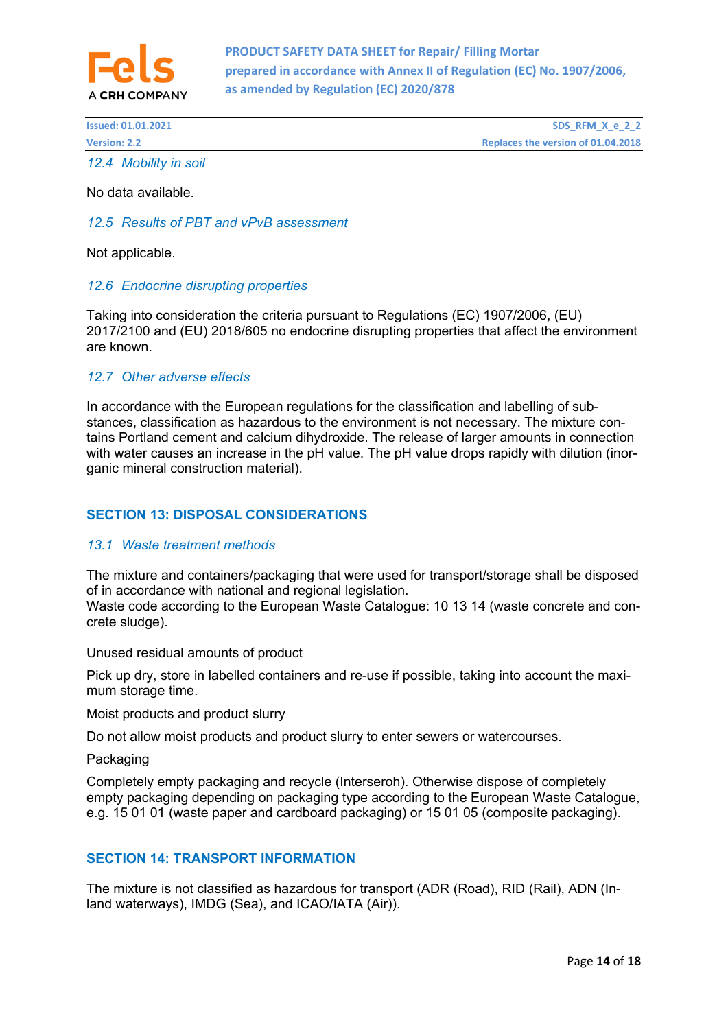

| <b>Issued: 01.01.2021</b> | SDS RFM X e 2 2                    |
|---------------------------|------------------------------------|
| <b>Version: 2.2</b>       | Replaces the version of 01.04.2018 |
| 12.4 Mobility in soil     |                                    |

No data available.

### *12.5 Results of PBT and vPvB assessment*

Not applicable.

### *12.6 Endocrine disrupting properties*

Taking into consideration the criteria pursuant to Regulations (EC) 1907/2006, (EU) 2017/2100 and (EU) 2018/605 no endocrine disrupting properties that affect the environment are known.

### *12.7 Other adverse effects*

In accordance with the European regulations for the classification and labelling of substances, classification as hazardous to the environment is not necessary. The mixture contains Portland cement and calcium dihydroxide. The release of larger amounts in connection with water causes an increase in the pH value. The pH value drops rapidly with dilution (inorganic mineral construction material).

### **SECTION 13: DISPOSAL CONSIDERATIONS**

#### *13.1 Waste treatment methods*

The mixture and containers/packaging that were used for transport/storage shall be disposed of in accordance with national and regional legislation.

Waste code according to the European Waste Catalogue: 10 13 14 (waste concrete and concrete sludge).

Unused residual amounts of product

Pick up dry, store in labelled containers and re-use if possible, taking into account the maximum storage time.

Moist products and product slurry

Do not allow moist products and product slurry to enter sewers or watercourses.

Packaging

Completely empty packaging and recycle (Interseroh). Otherwise dispose of completely empty packaging depending on packaging type according to the European Waste Catalogue, e.g. 15 01 01 (waste paper and cardboard packaging) or 15 01 05 (composite packaging).

### **SECTION 14: TRANSPORT INFORMATION**

The mixture is not classified as hazardous for transport (ADR (Road), RID (Rail), ADN (Inland waterways), IMDG (Sea), and ICAO/IATA (Air)).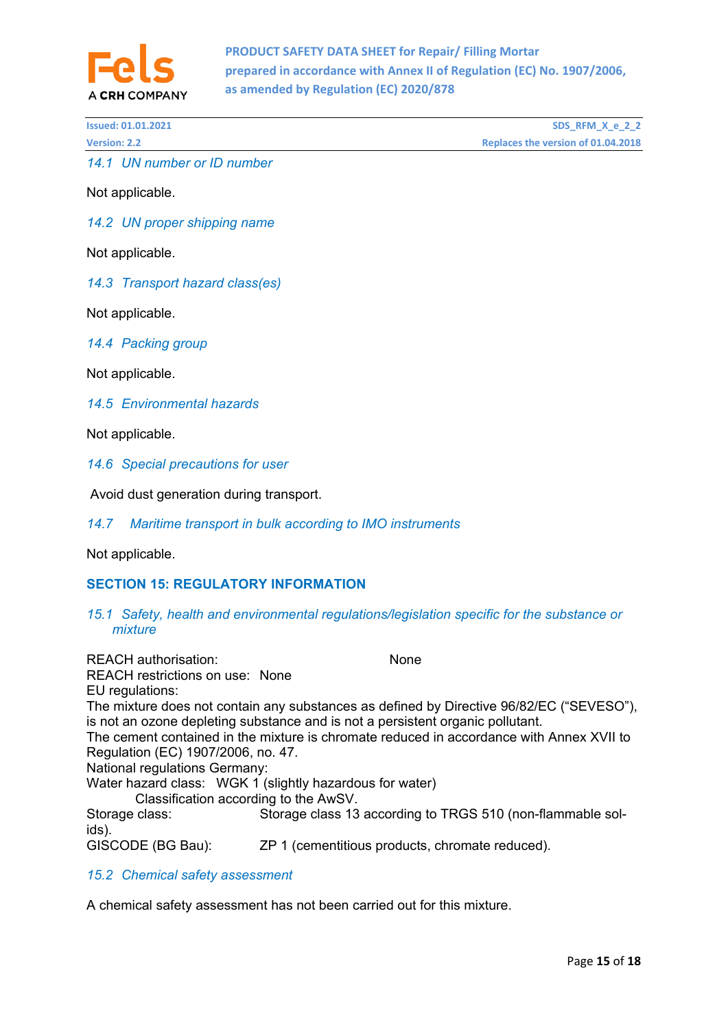

| <b>Issued: 01.01.2021</b> | SDS_RFM_X_e_2_2                    |
|---------------------------|------------------------------------|
| <b>Version: 2.2</b>       | Replaces the version of 01.04.2018 |

*14.1 UN number or ID number* 

Not applicable.

*14.2 UN proper shipping name* 

Not applicable.

*14.3 Transport hazard class(es)* 

Not applicable.

*14.4 Packing group* 

Not applicable.

*14.5 Environmental hazards* 

Not applicable.

*14.6 Special precautions for user* 

Avoid dust generation during transport.

#### *14.7 Maritime transport in bulk according to IMO instruments*

Not applicable.

### **SECTION 15: REGULATORY INFORMATION**

*15.1 Safety, health and environmental regulations/legislation specific for the substance or mixture* 

| <b>REACH</b> authorisation:            | <b>None</b>                                                                              |
|----------------------------------------|------------------------------------------------------------------------------------------|
| <b>REACH restrictions on use: None</b> |                                                                                          |
| EU regulations:                        |                                                                                          |
|                                        | The mixture does not contain any substances as defined by Directive 96/82/EC ("SEVESO"), |
|                                        | is not an ozone depleting substance and is not a persistent organic pollutant.           |
|                                        | The cement contained in the mixture is chromate reduced in accordance with Annex XVII to |
| Regulation (EC) 1907/2006, no. 47.     |                                                                                          |
| <b>National regulations Germany:</b>   |                                                                                          |
|                                        | Water hazard class: WGK 1 (slightly hazardous for water)                                 |
| Classification according to the AwSV.  |                                                                                          |
| Storage class:<br>ids).                | Storage class 13 according to TRGS 510 (non-flammable sol-                               |
| GISCODE (BG Bau):                      | ZP 1 (cementitious products, chromate reduced).                                          |

# *15.2 Chemical safety assessment*

A chemical safety assessment has not been carried out for this mixture.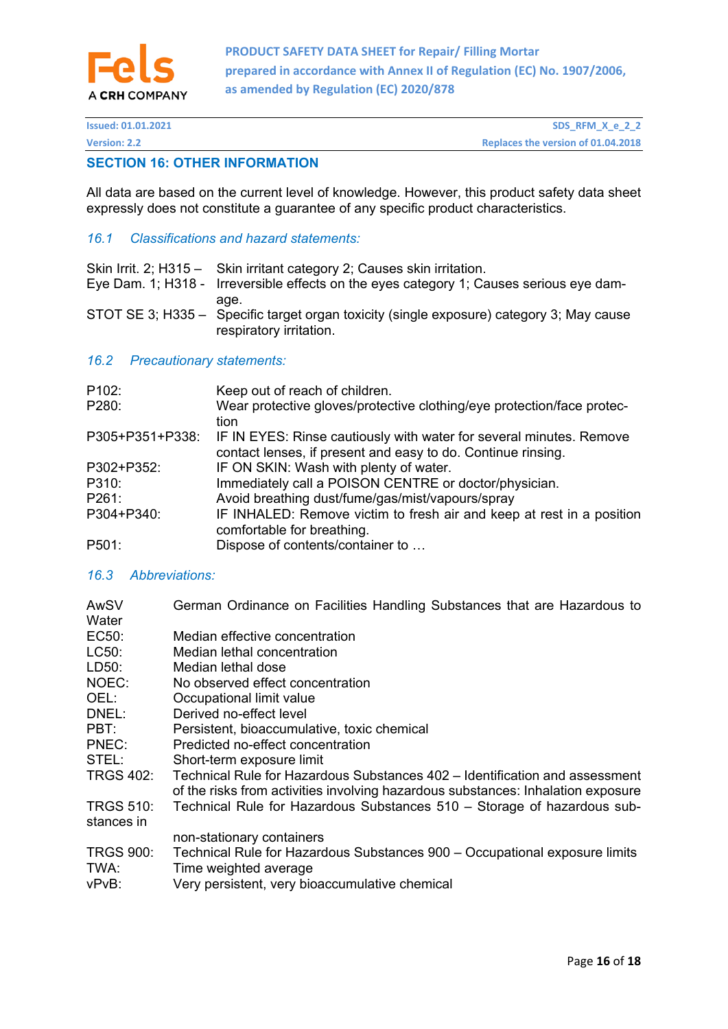

# **SECTION 16: OTHER INFORMATION**

All data are based on the current level of knowledge. However, this product safety data sheet expressly does not constitute a guarantee of any specific product characteristics.

### *16.1 Classifications and hazard statements:*

| Skin Irrit. 2; H315 - Skin irritant category 2; Causes skin irritation.<br>Eye Dam. 1; H318 - Irreversible effects on the eyes category 1; Causes serious eye dam- |
|--------------------------------------------------------------------------------------------------------------------------------------------------------------------|
| age.<br>STOT SE 3; H335 - Specific target organ toxicity (single exposure) category 3; May cause<br>respiratory irritation.                                        |

### *16.2 Precautionary statements:*

| P102:           | Keep out of reach of children.                                                                                                      |
|-----------------|-------------------------------------------------------------------------------------------------------------------------------------|
| P280:           | Wear protective gloves/protective clothing/eye protection/face protec-<br>tion                                                      |
| P305+P351+P338: | IF IN EYES: Rinse cautiously with water for several minutes. Remove<br>contact lenses, if present and easy to do. Continue rinsing. |
| P302+P352:      | IF ON SKIN: Wash with plenty of water.                                                                                              |
| P310:           | Immediately call a POISON CENTRE or doctor/physician.                                                                               |
| P261:           | Avoid breathing dust/fume/gas/mist/vapours/spray                                                                                    |
| P304+P340:      | IF INHALED: Remove victim to fresh air and keep at rest in a position<br>comfortable for breathing.                                 |
| P501:           | Dispose of contents/container to                                                                                                    |

# *16.3 Abbreviations:*

| AwSV<br>Water                  | German Ordinance on Facilities Handling Substances that are Hazardous to                                                                                        |
|--------------------------------|-----------------------------------------------------------------------------------------------------------------------------------------------------------------|
| EC50:                          | Median effective concentration                                                                                                                                  |
| LC50:                          | Median lethal concentration                                                                                                                                     |
| LD50:                          | Median lethal dose                                                                                                                                              |
| NOEC:                          | No observed effect concentration                                                                                                                                |
| OEL:                           | Occupational limit value                                                                                                                                        |
| DNEL:                          | Derived no-effect level                                                                                                                                         |
| PBT:                           | Persistent, bioaccumulative, toxic chemical                                                                                                                     |
| PNEC:                          | Predicted no-effect concentration                                                                                                                               |
| STEL:                          | Short-term exposure limit                                                                                                                                       |
| <b>TRGS 402:</b>               | Technical Rule for Hazardous Substances 402 – Identification and assessment<br>of the risks from activities involving hazardous substances: Inhalation exposure |
| <b>TRGS 510:</b><br>stances in | Technical Rule for Hazardous Substances 510 - Storage of hazardous sub-                                                                                         |
|                                | non-stationary containers                                                                                                                                       |
| <b>TRGS 900:</b><br>TWA:       | Technical Rule for Hazardous Substances 900 - Occupational exposure limits<br>Time weighted average                                                             |
| vPvB:                          | Very persistent, very bioaccumulative chemical                                                                                                                  |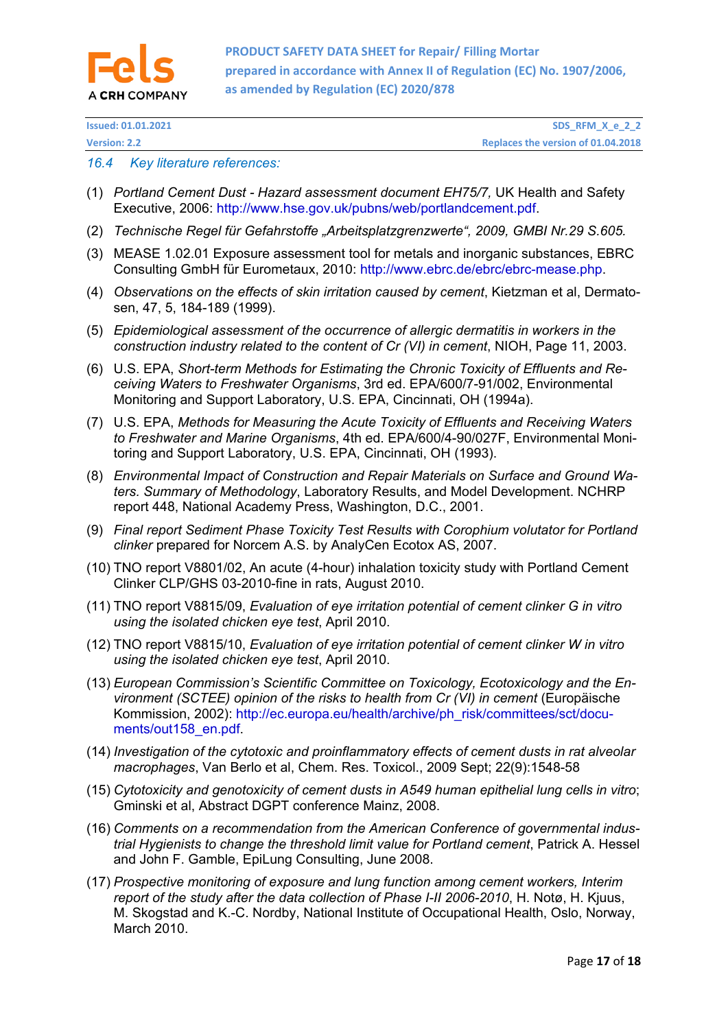

**Issued: 01.01.2021 SDS\_RFM\_X\_e\_2\_2 Physics: 2.2 Replaces** the **version**: **2.2 Replaces** the **version** of 01.04.2018

#### *16.4 Key literature references:*

- (1) *Portland Cement Dust Hazard assessment document EH75/7,* UK Health and Safety Executive, 2006: http://www.hse.gov.uk/pubns/web/portlandcement.pdf.
- (2) *Technische Regel für Gefahrstoffe "Arbeitsplatzgrenzwerte", 2009, GMBI Nr.29 S.605.*
- (3) MEASE 1.02.01 Exposure assessment tool for metals and inorganic substances, EBRC Consulting GmbH für Eurometaux, 2010: http://www.ebrc.de/ebrc/ebrc-mease.php.
- (4) *Observations on the effects of skin irritation caused by cement*, Kietzman et al, Dermatosen, 47, 5, 184-189 (1999).
- (5) *Epidemiological assessment of the occurrence of allergic dermatitis in workers in the construction industry related to the content of Cr (VI) in cement*, NIOH, Page 11, 2003.
- (6) U.S. EPA, *Short-term Methods for Estimating the Chronic Toxicity of Effluents and Receiving Waters to Freshwater Organisms*, 3rd ed. EPA/600/7-91/002, Environmental Monitoring and Support Laboratory, U.S. EPA, Cincinnati, OH (1994a).
- (7) U.S. EPA, *Methods for Measuring the Acute Toxicity of Effluents and Receiving Waters to Freshwater and Marine Organisms*, 4th ed. EPA/600/4-90/027F, Environmental Monitoring and Support Laboratory, U.S. EPA, Cincinnati, OH (1993).
- (8) *Environmental Impact of Construction and Repair Materials on Surface and Ground Waters. Summary of Methodology*, Laboratory Results, and Model Development. NCHRP report 448, National Academy Press, Washington, D.C., 2001.
- (9) *Final report Sediment Phase Toxicity Test Results with Corophium volutator for Portland clinker* prepared for Norcem A.S. by AnalyCen Ecotox AS, 2007.
- (10) TNO report V8801/02, An acute (4-hour) inhalation toxicity study with Portland Cement Clinker CLP/GHS 03-2010-fine in rats, August 2010.
- (11) TNO report V8815/09, *Evaluation of eye irritation potential of cement clinker G in vitro using the isolated chicken eye test*, April 2010.
- (12) TNO report V8815/10, *Evaluation of eye irritation potential of cement clinker W in vitro using the isolated chicken eye test*, April 2010.
- (13) *European Commission's Scientific Committee on Toxicology, Ecotoxicology and the Environment (SCTEE) opinion of the risks to health from Cr (VI) in cement (Europäische* Kommission, 2002): http://ec.europa.eu/health/archive/ph\_risk/committees/sct/documents/out158\_en.pdf.
- (14) *Investigation of the cytotoxic and proinflammatory effects of cement dusts in rat alveolar macrophages*, Van Berlo et al, Chem. Res. Toxicol., 2009 Sept; 22(9):1548-58
- (15) *Cytotoxicity and genotoxicity of cement dusts in A549 human epithelial lung cells in vitro*; Gminski et al, Abstract DGPT conference Mainz, 2008.
- (16) *Comments on a recommendation from the American Conference of governmental industrial Hygienists to change the threshold limit value for Portland cement*, Patrick A. Hessel and John F. Gamble, EpiLung Consulting, June 2008.
- (17) *Prospective monitoring of exposure and lung function among cement workers, Interim report of the study after the data collection of Phase I-II 2006-2010*, H. Notø, H. Kjuus, M. Skogstad and K.-C. Nordby, National Institute of Occupational Health, Oslo, Norway, March 2010.